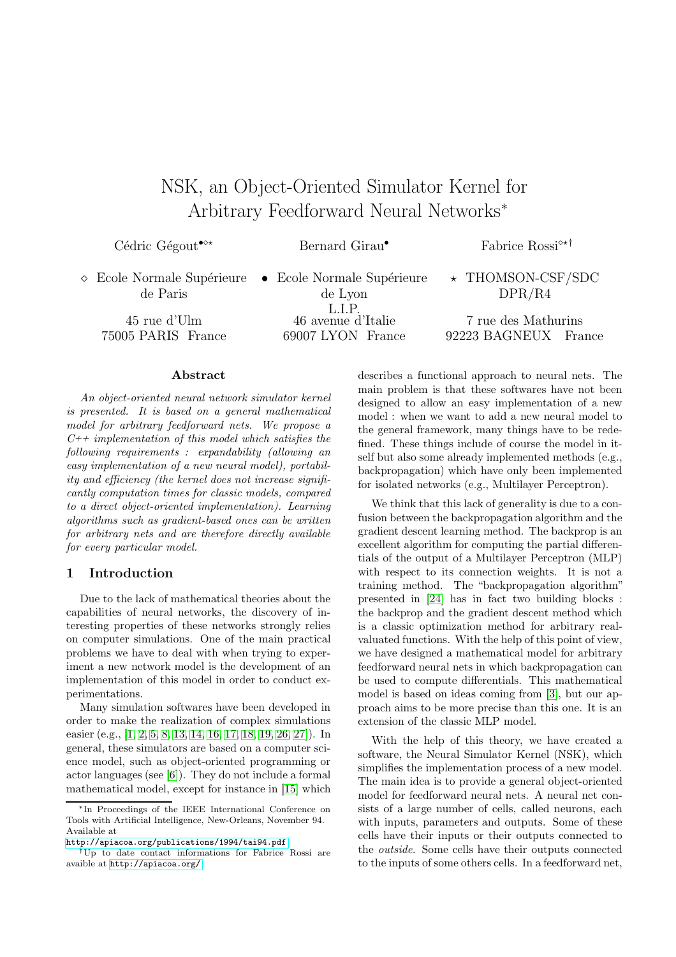# NSK, an Object-Oriented Simulator Kernel for Arbitrary Feedforward Neural Networks<sup>∗</sup>

Cédric Gégout<sup>•</sup><sup>\*\*</sup> Bernard Girau<sup>•</sup> Fabrice Rossi<sup>\*\*†</sup>

◇ Ecole Normale Supérieure • Ecole Normale Supérieure de Paris

de Lyon L.I.P.<br>46 avenue d'Italie 45 rue d'Ulm 46 avenue d'Italie 7 rue des Mathurins 75005 PARIS France 69007 LYON France 92223 BAGNEUX France

 $\star$  THOMSON-CSF/SDC DPR/R4

#### Abstract

An object-oriented neural network simulator kernel is presented. It is based on a general mathematical model for arbitrary feedforward nets. We propose a  $C_{++}$  implementation of this model which satisfies the following requirements : expandability (allowing an easy implementation of a new neural model), portability and efficiency (the kernel does not increase significantly computation times for classic models, compared to a direct object-oriented implementation). Learning algorithms such as gradient-based ones can be written for arbitrary nets and are therefore directly available for every particular model.

# 1 Introduction

Due to the lack of mathematical theories about the capabilities of neural networks, the discovery of interesting properties of these networks strongly relies on computer simulations. One of the main practical problems we have to deal with when trying to experiment a new network model is the development of an implementation of this model in order to conduct experimentations.

Many simulation softwares have been developed in order to make the realization of complex simulations easier (e.g., [\[1,](#page-9-0) [2,](#page-9-1) [5,](#page-9-2) [8,](#page-9-3) [13,](#page-9-4) [14,](#page-9-5) [16,](#page-9-6) [17,](#page-9-7) [18,](#page-9-8) [19,](#page-9-9) [26,](#page-10-0) [27\]](#page-10-1)). In general, these simulators are based on a computer science model, such as object-oriented programming or actor languages (see [\[6\]](#page-9-10)). They do not include a formal mathematical model, except for instance in [\[15\]](#page-9-11) which describes a functional approach to neural nets. The main problem is that these softwares have not been designed to allow an easy implementation of a new model : when we want to add a new neural model to the general framework, many things have to be redefined. These things include of course the model in itself but also some already implemented methods (e.g., backpropagation) which have only been implemented for isolated networks (e.g., Multilayer Perceptron).

We think that this lack of generality is due to a confusion between the backpropagation algorithm and the gradient descent learning method. The backprop is an excellent algorithm for computing the partial differentials of the output of a Multilayer Perceptron (MLP) with respect to its connection weights. It is not a training method. The "backpropagation algorithm" presented in [\[24\]](#page-10-2) has in fact two building blocks : the backprop and the gradient descent method which is a classic optimization method for arbitrary realvaluated functions. With the help of this point of view, we have designed a mathematical model for arbitrary feedforward neural nets in which backpropagation can be used to compute differentials. This mathematical model is based on ideas coming from [\[3\]](#page-9-12), but our approach aims to be more precise than this one. It is an extension of the classic MLP model.

With the help of this theory, we have created a software, the Neural Simulator Kernel (NSK), which simplifies the implementation process of a new model. The main idea is to provide a general object-oriented model for feedforward neural nets. A neural net consists of a large number of cells, called neurons, each with inputs, parameters and outputs. Some of these cells have their inputs or their outputs connected to the outside. Some cells have their outputs connected to the inputs of some others cells. In a feedforward net,

<sup>∗</sup>In Proceedings of the IEEE International Conference on Tools with Artificial Intelligence, New-Orleans, November 94. Available at

<http://apiacoa.org/publications/1994/tai94.pdf>

<sup>†</sup>Up to date contact informations for Fabrice Rossi are avaible at <http://apiacoa.org/>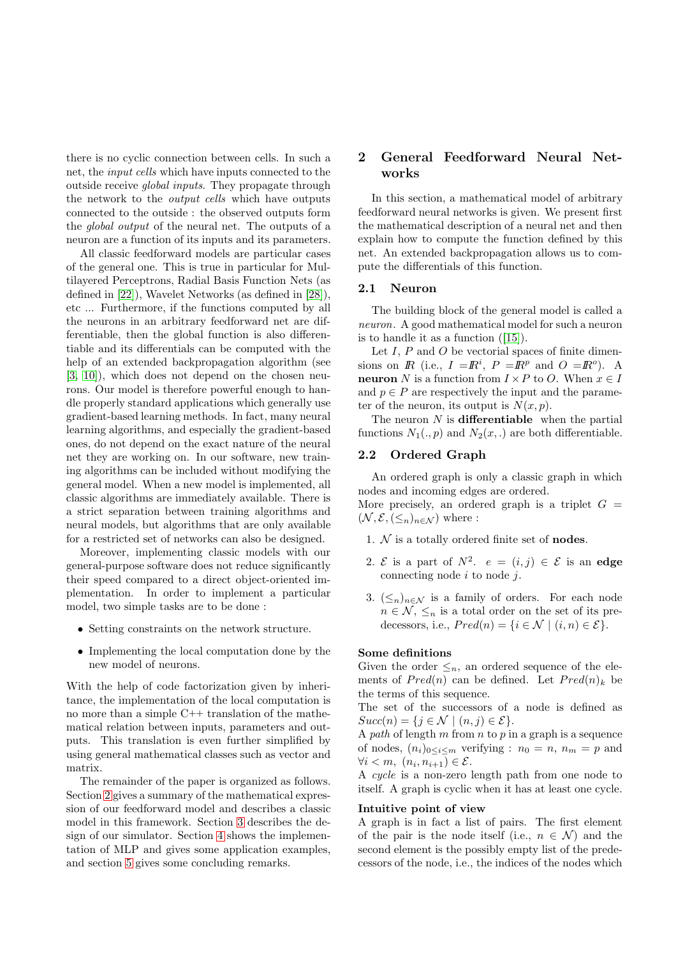there is no cyclic connection between cells. In such a net, the input cells which have inputs connected to the outside receive global inputs. They propagate through the network to the output cells which have outputs connected to the outside : the observed outputs form the global output of the neural net. The outputs of a neuron are a function of its inputs and its parameters.

All classic feedforward models are particular cases of the general one. This is true in particular for Multilayered Perceptrons, Radial Basis Function Nets (as defined in [\[22\]](#page-10-3)), Wavelet Networks (as defined in [\[28\]](#page-10-4)), etc ... Furthermore, if the functions computed by all the neurons in an arbitrary feedforward net are differentiable, then the global function is also differentiable and its differentials can be computed with the help of an extended backpropagation algorithm (see [\[3,](#page-9-12) [10\]](#page-9-13)), which does not depend on the chosen neurons. Our model is therefore powerful enough to handle properly standard applications which generally use gradient-based learning methods. In fact, many neural learning algorithms, and especially the gradient-based ones, do not depend on the exact nature of the neural net they are working on. In our software, new training algorithms can be included without modifying the general model. When a new model is implemented, all classic algorithms are immediately available. There is a strict separation between training algorithms and neural models, but algorithms that are only available for a restricted set of networks can also be designed.

Moreover, implementing classic models with our general-purpose software does not reduce significantly their speed compared to a direct object-oriented implementation. In order to implement a particular model, two simple tasks are to be done :

- Setting constraints on the network structure.
- Implementing the local computation done by the new model of neurons.

With the help of code factorization given by inheritance, the implementation of the local computation is no more than a simple C++ translation of the mathematical relation between inputs, parameters and outputs. This translation is even further simplified by using general mathematical classes such as vector and matrix.

The remainder of the paper is organized as follows. Section [2](#page-1-0) gives a summary of the mathematical expression of our feedforward model and describes a classic model in this framework. Section [3](#page-5-0) describes the design of our simulator. Section [4](#page-7-0) shows the implementation of MLP and gives some application examples, and section [5](#page-8-0) gives some concluding remarks.

# <span id="page-1-0"></span>2 General Feedforward Neural Networks

In this section, a mathematical model of arbitrary feedforward neural networks is given. We present first the mathematical description of a neural net and then explain how to compute the function defined by this net. An extended backpropagation allows us to compute the differentials of this function.

### 2.1 Neuron

The building block of the general model is called a neuron. A good mathematical model for such a neuron is to handle it as a function ([\[15\]](#page-9-11)).

Let  $I, P$  and  $O$  be vectorial spaces of finite dimensions on  $\mathbb{R}$  (i.e.,  $I = \mathbb{R}^i$ ,  $P = \mathbb{R}^p$  and  $Q = \mathbb{R}^o$ ). A **neuron** N is a function from  $I \times P$  to O. When  $x \in I$ and  $p \in P$  are respectively the input and the parameter of the neuron, its output is  $N(x, p)$ .

The neuron  $N$  is **differentiable** when the partial functions  $N_1(., p)$  and  $N_2(x,.)$  are both differentiable.

# <span id="page-1-1"></span>2.2 Ordered Graph

An ordered graph is only a classic graph in which nodes and incoming edges are ordered.

More precisely, an ordered graph is a triplet  $G =$  $(\mathcal{N}, \mathcal{E}, {\langle \leq_n \rangle}_{n \in \mathcal{N}})$  where :

- 1.  $N$  is a totally ordered finite set of **nodes**.
- 2. E is a part of  $N^2$ .  $e = (i, j) \in \mathcal{E}$  is an edge connecting node  $i$  to node  $j$ .
- 3.  $(\leq_n)_{n\in\mathcal{N}}$  is a family of orders. For each node  $n \in \mathcal{N}, \leq_n$  is a total order on the set of its predecessors, i.e.,  $Pred(n) = \{i \in \mathcal{N} \mid (i, n) \in \mathcal{E}\}.$

### Some definitions

Given the order  $\leq_n$ , an ordered sequence of the elements of  $Pred(n)$  can be defined. Let  $Pred(n)_k$  be the terms of this sequence.

The set of the successors of a node is defined as  $Succ(n) = \{j \in \mathcal{N} \mid (n, j) \in \mathcal{E}\}.$ 

A path of length  $m$  from  $n$  to  $p$  in a graph is a sequence of nodes,  $(n_i)_{0 \leq i \leq m}$  verifying :  $n_0 = n$ ,  $n_m = p$  and  $\forall i \leq m, \ (n_i, n_{i+1}) \in \mathcal{E}.$ 

A cycle is a non-zero length path from one node to itself. A graph is cyclic when it has at least one cycle.

#### Intuitive point of view

A graph is in fact a list of pairs. The first element of the pair is the node itself (i.e.,  $n \in \mathcal{N}$ ) and the second element is the possibly empty list of the predecessors of the node, i.e., the indices of the nodes which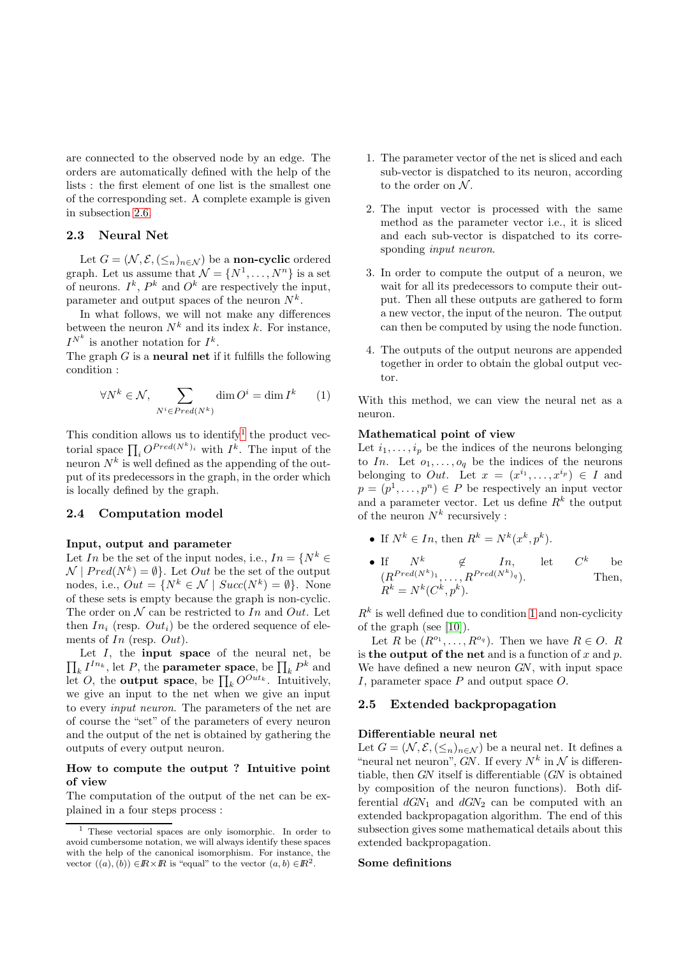are connected to the observed node by an edge. The orders are automatically defined with the help of the lists : the first element of one list is the smallest one of the corresponding set. A complete example is given in subsection [2.6.](#page-3-0)

# 2.3 Neural Net

Let  $G = (\mathcal{N}, \mathcal{E}, (\leq_n)_{n \in \mathcal{N}})$  be a **non-cyclic** ordered graph. Let us assume that  $\mathcal{N} = \{N^1, \ldots, N^n\}$  is a set of neurons.  $I^k$ ,  $P^k$  and  $O^k$  are respectively the input, parameter and output spaces of the neuron  $N^k$ .

In what follows, we will not make any differences between the neuron  $N^k$  and its index k. For instance,  $I^{N^k}$  is another notation for  $I^k$ .

<span id="page-2-1"></span>The graph  $G$  is a **neural net** if it fulfills the following condition :

$$
\forall N^k \in \mathcal{N}, \sum_{N^i \in Pred(N^k)} \dim O^i = \dim I^k \qquad (1)
$$

This condition allows us to identify<sup>[1](#page-2-0)</sup> the product vectorial space  $\prod_i O^{Pred(N^k)_i}$  with  $I^k$ . The input of the neuron  $N^k$  is well defined as the appending of the output of its predecessors in the graph, in the order which is locally defined by the graph.

### 2.4 Computation model

### Input, output and parameter

Let In be the set of the input nodes, i.e.,  $In = \{N^k \in \mathbb{R}^N : |I| \leq N^k\}$  $\mathcal{N} \mid Pred(N^k) = \emptyset$ . Let *Out* be the set of the output nodes, i.e.,  $Out = \{N^k \in \mathcal{N} \mid Succ(N^k) = \emptyset\}.$  None of these sets is empty because the graph is non-cyclic. The order on  $N$  can be restricted to In and Out. Let then  $In_i$  (resp.  $Out_i$ ) be the ordered sequence of elements of In (resp. Out).

 $\prod_k I^{In_k}$ , let P, the **parameter space**, be  $\prod_k P^k$  and Let  $I$ , the **input space** of the neural net, be let O, the **output space**, be  $\prod_k O^{Out_k}$ . Intuitively, we give an input to the net when we give an input to every input neuron. The parameters of the net are of course the "set" of the parameters of every neuron and the output of the net is obtained by gathering the outputs of every output neuron.

# How to compute the output ? Intuitive point of view

The computation of the output of the net can be explained in a four steps process :

- 1. The parameter vector of the net is sliced and each sub-vector is dispatched to its neuron, according to the order on  $N$ .
- 2. The input vector is processed with the same method as the parameter vector i.e., it is sliced and each sub-vector is dispatched to its corresponding *input neuron*.
- 3. In order to compute the output of a neuron, we wait for all its predecessors to compute their output. Then all these outputs are gathered to form a new vector, the input of the neuron. The output can then be computed by using the node function.
- 4. The outputs of the output neurons are appended together in order to obtain the global output vector.

With this method, we can view the neural net as a neuron.

### Mathematical point of view

Let  $i_1, \ldots, i_p$  be the indices of the neurons belonging to In. Let  $o_1, \ldots, o_q$  be the indices of the neurons belonging to *Out*. Let  $x = (x^{i_1}, \ldots, x^{i_p}) \in I$  and  $p = (p^1, \ldots, p^n) \in P$  be respectively an input vector and a parameter vector. Let us define  $R^k$  the output of the neuron  $N^k$  recursively :

- If  $N^k \in In$ , then  $R^k = N^k(x^k, p^k)$ .
- If  $N^k$   $\notin$  In, let C  $C^k$  be  $(R^{Pred(N^k)}_1, \ldots, R^{Pred(N^k)}_n)$ Then,  $R^k = N^k(C^k, p^k).$

 $R<sup>k</sup>$  is well defined due to condition [1](#page-2-1) and non-cyclicity of the graph (see [\[10\]](#page-9-13)).

Let R be  $(R^{o_1}, \ldots, R^{o_q})$ . Then we have  $R \in O$ . R is the output of the net and is a function of x and  $p$ . We have defined a new neuron GN, with input space I, parameter space  $P$  and output space  $Q$ .

### 2.5 Extended backpropagation

### Differentiable neural net

Let  $G = (\mathcal{N}, \mathcal{E}, (\leq_n)_{n \in \mathcal{N}})$  be a neural net. It defines a "neural net neuron", GN. If every  $N^k$  in  $\mathcal N$  is differentiable, then GN itself is differentiable (GN is obtained by composition of the neuron functions). Both differential  $dGN_1$  and  $dGN_2$  can be computed with an extended backpropagation algorithm. The end of this subsection gives some mathematical details about this extended backpropagation.

### Some definitions

<span id="page-2-0"></span><sup>&</sup>lt;sup>1</sup> These vectorial spaces are only isomorphic. In order to avoid cumbersome notation, we will always identify these spaces with the help of the canonical isomorphism. For instance, the vector  $((a), (b)) \in \mathbb{R} \times \mathbb{R}$  is "equal" to the vector  $(a, b) \in \mathbb{R}^2$ .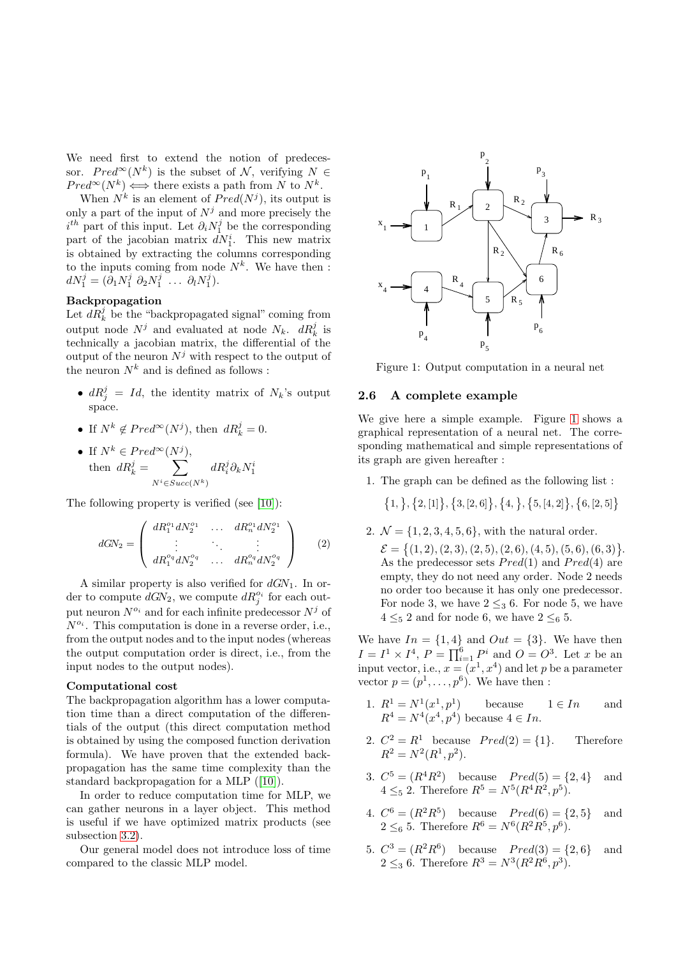We need first to extend the notion of predecessor.  $Pred^{\infty}(N^k)$  is the subset of N, verifying  $N \in$  $Pred^{\infty}(N^k) \iff \text{there exists a path from } N \text{ to } N^k.$ 

When  $N^k$  is an element of  $Pred(N^j)$ , its output is only a part of the input of  $N^j$  and more precisely the  $i^{th}$  part of this input. Let  $\partial_i N_1^j$  be the corresponding part of the jacobian matrix  $dN_1^i$ . This new matrix is obtained by extracting the columns corresponding to the inputs coming from node  $N^k$ . We have then :  $dN_1^j = (\partial_1 N_1^j \ \partial_2 N_1^j \ \ldots \ \partial_l N_1^j).$ 

# Backpropagation

Let  $dR_k^j$  be the "backpropagated signal" coming from output node  $N^j$  and evaluated at node  $N_k$ .  $dR_k^j$  is technically a jacobian matrix, the differential of the output of the neuron  $N^j$  with respect to the output of the neuron  $N^k$  and is defined as follows :

- $dR_j^j = Id$ , the identity matrix of  $N_k$ 's output space.
- If  $N^k \notin Pred^{\infty}(N^j)$ , then  $dR^j_k = 0$ .
- If  $N^k \in Pred^{\infty}(N^j)$ , then  $dR_k^j = \sum$  $N^{i} \in Succ(N^{k})$  $dR_i^j\partial_kN_1^i$

The following property is verified (see [\[10\]](#page-9-13)):

$$
dGN_2 = \begin{pmatrix} dR_1^{o_1} dN_2^{o_1} & \dots & dR_n^{o_1} dN_2^{o_1} \\ \vdots & \vdots & \vdots \\ dR_1^{o_q} dN_2^{o_q} & \dots & dR_n^{o_q} dN_2^{o_q} \end{pmatrix}
$$
 (2)

A similar property is also verified for  $dGN_1$ . In order to compute  $dGN_2$ , we compute  $dR_j^{o_i}$  for each output neuron  $N^{o_i}$  and for each infinite predecessor  $N^j$  of  $N^{o_i}$ . This computation is done in a reverse order, i.e., from the output nodes and to the input nodes (whereas the output computation order is direct, i.e., from the input nodes to the output nodes).

### Computational cost

The backpropagation algorithm has a lower computation time than a direct computation of the differentials of the output (this direct computation method is obtained by using the composed function derivation formula). We have proven that the extended backpropagation has the same time complexity than the standard backpropagation for a MLP ([\[10\]](#page-9-13)).

In order to reduce computation time for MLP, we can gather neurons in a layer object. This method is useful if we have optimized matrix products (see subsection [3.2\)](#page-5-1).

Our general model does not introduce loss of time compared to the classic MLP model.



Figure 1: Output computation in a neural net

### <span id="page-3-1"></span><span id="page-3-0"></span>2.6 A complete example

We give here a simple example. Figure [1](#page-3-1) shows a graphical representation of a neural net. The corresponding mathematical and simple representations of its graph are given hereafter :

1. The graph can be defined as the following list :

$$
\{1, \}, \{2, [1]\}, \{3, [2, 6]\}, \{4, \}, \{5, [4, 2]\}, \{6, [2, 5]\}
$$

2.  $\mathcal{N} = \{1, 2, 3, 4, 5, 6\}$ , with the natural order.  $\mathcal{E} = \{(1, 2), (2, 3), (2, 5), (2, 6), (4, 5), (5, 6), (6, 3)\}.$ As the predecessor sets  $Pred(1)$  and  $Pred(4)$  are empty, they do not need any order. Node 2 needs no order too because it has only one predecessor. For node 3, we have  $2 \leq 3$  6. For node 5, we have  $4 \leq_5 2$  and for node 6, we have  $2 \leq_6 5$ .

We have  $In = \{1, 4\}$  and  $Out = \{3\}$ . We have then  $I = I^1 \times I^4$ ,  $P = \prod_{i=1}^6 P^i$  and  $O = O^3$ . Let x be an input vector, i.e.,  $x = (x^1, x^4)$  and let p be a parameter vector  $p = (p^1, \ldots, p^6)$ . We have then :

- 1.  $R^1 = N^1(x^1, p^1)$  because  $1 \in In$  and  $R^4 = N^4(x^4, p^4)$  because  $4 \in In$ .
- 2.  $C^2 = R^1$  because  $Pred(2) = \{1\}$ . Therefore  $R^2 = N^2(R^1, p^2).$
- 3.  $C^5 = (R^4 R^2)$  because  $Pred(5) = \{2, 4\}$  and  $4 \leq_5 2$ . Therefore  $R^5 = N^5(R^4R^2, p^5)$ .
- 4.  $C^6 = (R^2 R^5)$  because  $Pred(6) = \{2, 5\}$  and  $2 \leq_6 5$ . Therefore  $R^6 = N^6(R^2R^5, p^6)$ .
- 5.  $C^3 = (R^2R^6)$  because  $Pred(3) = \{2, 6\}$  and  $2 \leq_3 6$ . Therefore  $R^3 = N^3(R^2R^6, p^3)$ .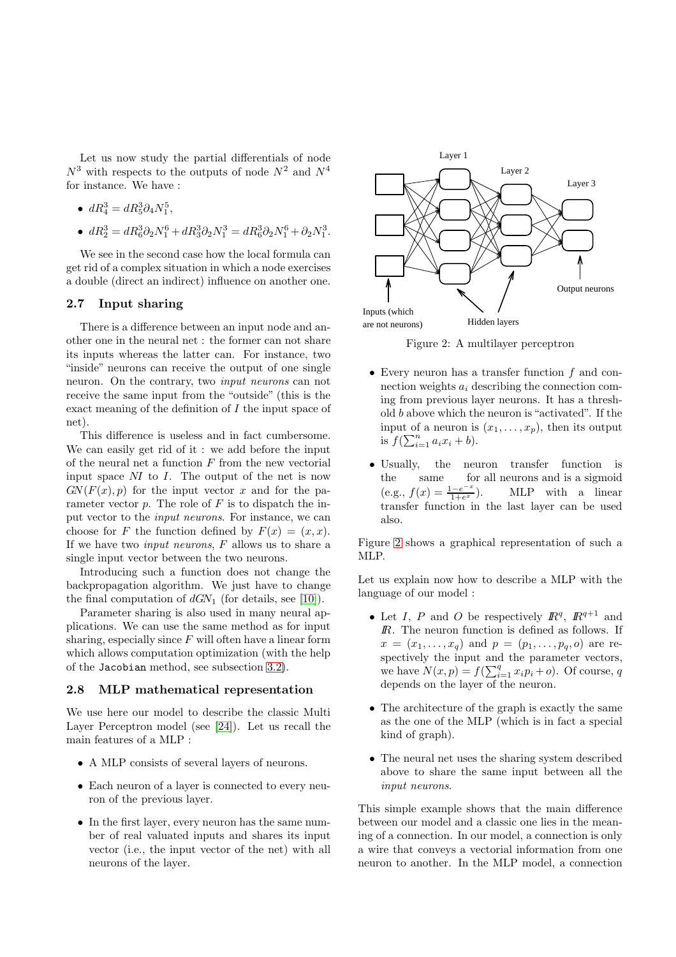Let us now study the partial differentials of node  $N^3$  with respects to the outputs of node  $N^2$  and  $N^4$ for instance. We have :

- $dR_4^3 = dR_5^3 \partial_4 N_1^5$ ,
- $dR_2^3 = dR_6^3 \partial_2 N_1^6 + dR_3^3 \partial_2 N_1^3 = dR_6^3 \partial_2 N_1^6 + \partial_2 N_1^3$ .

We see in the second case how the local formula can get rid of a complex situation in which a node exercises a double (direct an indirect) influence on another one.

# 2.7 Input sharing

There is a difference between an input node and another one in the neural net : the former can not share its inputs whereas the latter can. For instance, two "inside" neurons can receive the output of one single neuron. On the contrary, two input neurons can not receive the same input from the "outside" (this is the exact meaning of the definition of I the input space of net).

This difference is useless and in fact cumbersome. We can easily get rid of it : we add before the input of the neural net a function  $F$  from the new vectorial input space NI to I. The output of the net is now  $GN(F(x), p)$  for the input vector x and for the parameter vector  $p$ . The role of  $F$  is to dispatch the input vector to the input neurons. For instance, we can choose for F the function defined by  $F(x) = (x, x)$ . If we have two *input neurons*,  $F$  allows us to share a single input vector between the two neurons.

Introducing such a function does not change the backpropagation algorithm. We just have to change the final computation of  $dGN_1$  (for details, see [\[10\]](#page-9-13)).

Parameter sharing is also used in many neural applications. We can use the same method as for input sharing, especially since  $F$  will often have a linear form which allows computation optimization (with the help of the Jacobian method, see subsection [3.2\)](#page-5-1).

### <span id="page-4-1"></span>2.8 MLP mathematical representation

We use here our model to describe the classic Multi Layer Perceptron model (see [\[24\]](#page-10-2)). Let us recall the main features of a MLP :

- A MLP consists of several layers of neurons.
- Each neuron of a layer is connected to every neuron of the previous layer.
- In the first layer, every neuron has the same number of real valuated inputs and shares its input vector (i.e., the input vector of the net) with all neurons of the layer.



Figure 2: A multilayer perceptron

- <span id="page-4-0"></span>• Every neuron has a transfer function  $f$  and connection weights  $a_i$  describing the connection coming from previous layer neurons. It has a threshold b above which the neuron is "activated". If the input of a neuron is  $(x_1, \ldots, x_p)$ , then its output is  $f(\sum_{i=1}^{n} a_i x_i + b)$ .
- Usually, the neuron transfer function is the same for all neurons and is a sigmoid  $(e.g., f(x) = \frac{1-e^{-x}}{1+e^{x}})$  $1+e$ MLP with a linear transfer function in the last layer can be used also.

Figure [2](#page-4-0) shows a graphical representation of such a MLP.

Let us explain now how to describe a MLP with the language of our model :

- Let I, P and O be respectively  $\mathbb{R}^q$ ,  $\mathbb{R}^{q+1}$  and  $\mathbb R$ . The neuron function is defined as follows. If  $x = (x_1, ..., x_q)$  and  $p = (p_1, ..., p_q, o)$  are respectively the input and the parameter vectors, we have  $N(x,p) = f(\sum_{i=1}^{q} x_i p_i + o)$ . Of course, q depends on the layer of the neuron.
- The architecture of the graph is exactly the same as the one of the MLP (which is in fact a special kind of graph).
- The neural net uses the sharing system described above to share the same input between all the input neurons.

This simple example shows that the main difference between our model and a classic one lies in the meaning of a connection. In our model, a connection is only a wire that conveys a vectorial information from one neuron to another. In the MLP model, a connection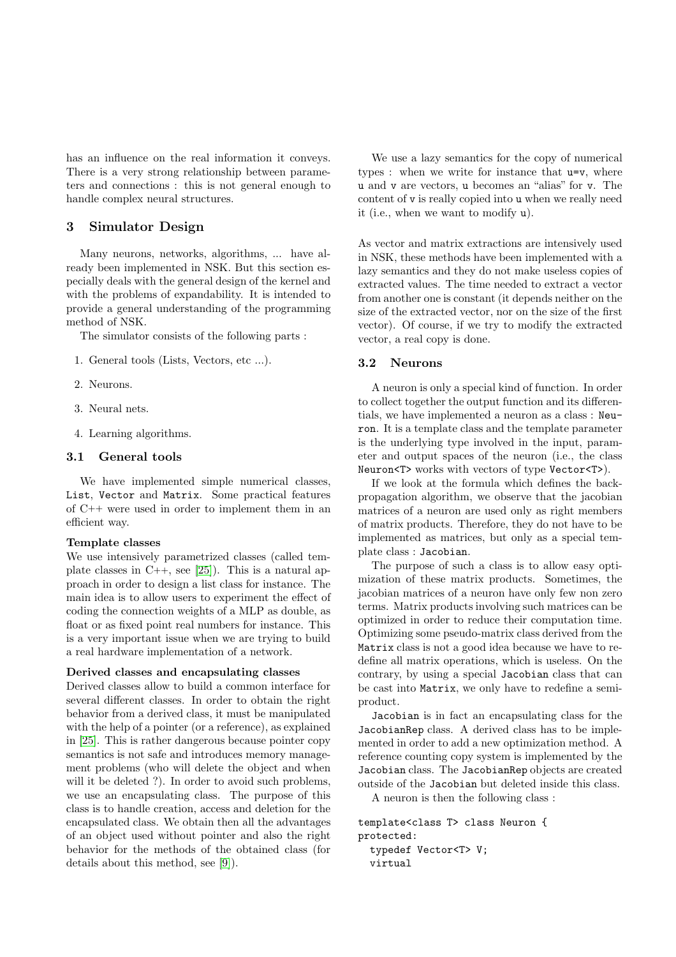has an influence on the real information it conveys. There is a very strong relationship between parameters and connections : this is not general enough to handle complex neural structures.

# <span id="page-5-0"></span>3 Simulator Design

Many neurons, networks, algorithms, ... have already been implemented in NSK. But this section especially deals with the general design of the kernel and with the problems of expandability. It is intended to provide a general understanding of the programming method of NSK.

The simulator consists of the following parts :

- 1. General tools (Lists, Vectors, etc ...).
- 2. Neurons.
- 3. Neural nets.
- 4. Learning algorithms.

# 3.1 General tools

We have implemented simple numerical classes, List, Vector and Matrix. Some practical features of C++ were used in order to implement them in an efficient way.

### Template classes

We use intensively parametrized classes (called template classes in  $C_{++}$ , see [\[25\]](#page-10-5)). This is a natural approach in order to design a list class for instance. The main idea is to allow users to experiment the effect of coding the connection weights of a MLP as double, as float or as fixed point real numbers for instance. This is a very important issue when we are trying to build a real hardware implementation of a network.

#### Derived classes and encapsulating classes

Derived classes allow to build a common interface for several different classes. In order to obtain the right behavior from a derived class, it must be manipulated with the help of a pointer (or a reference), as explained in [\[25\]](#page-10-5). This is rather dangerous because pointer copy semantics is not safe and introduces memory management problems (who will delete the object and when will it be deleted ?). In order to avoid such problems, we use an encapsulating class. The purpose of this class is to handle creation, access and deletion for the encapsulated class. We obtain then all the advantages of an object used without pointer and also the right behavior for the methods of the obtained class (for details about this method, see [\[9\]](#page-9-14)).

We use a lazy semantics for the copy of numerical types : when we write for instance that u=v, where u and v are vectors, u becomes an "alias" for v. The content of v is really copied into u when we really need it (i.e., when we want to modify u).

As vector and matrix extractions are intensively used in NSK, these methods have been implemented with a lazy semantics and they do not make useless copies of extracted values. The time needed to extract a vector from another one is constant (it depends neither on the size of the extracted vector, nor on the size of the first vector). Of course, if we try to modify the extracted vector, a real copy is done.

### <span id="page-5-1"></span>3.2 Neurons

A neuron is only a special kind of function. In order to collect together the output function and its differentials, we have implemented a neuron as a class : Neuron. It is a template class and the template parameter is the underlying type involved in the input, parameter and output spaces of the neuron (i.e., the class Neuron<T> works with vectors of type Vector<T>).

If we look at the formula which defines the backpropagation algorithm, we observe that the jacobian matrices of a neuron are used only as right members of matrix products. Therefore, they do not have to be implemented as matrices, but only as a special template class : Jacobian.

The purpose of such a class is to allow easy optimization of these matrix products. Sometimes, the jacobian matrices of a neuron have only few non zero terms. Matrix products involving such matrices can be optimized in order to reduce their computation time. Optimizing some pseudo-matrix class derived from the Matrix class is not a good idea because we have to redefine all matrix operations, which is useless. On the contrary, by using a special Jacobian class that can be cast into Matrix, we only have to redefine a semiproduct.

Jacobian is in fact an encapsulating class for the JacobianRep class. A derived class has to be implemented in order to add a new optimization method. A reference counting copy system is implemented by the Jacobian class. The JacobianRep objects are created outside of the Jacobian but deleted inside this class.

A neuron is then the following class :

```
template<class T> class Neuron {
protected:
  typedef Vector<T> V;
  virtual
```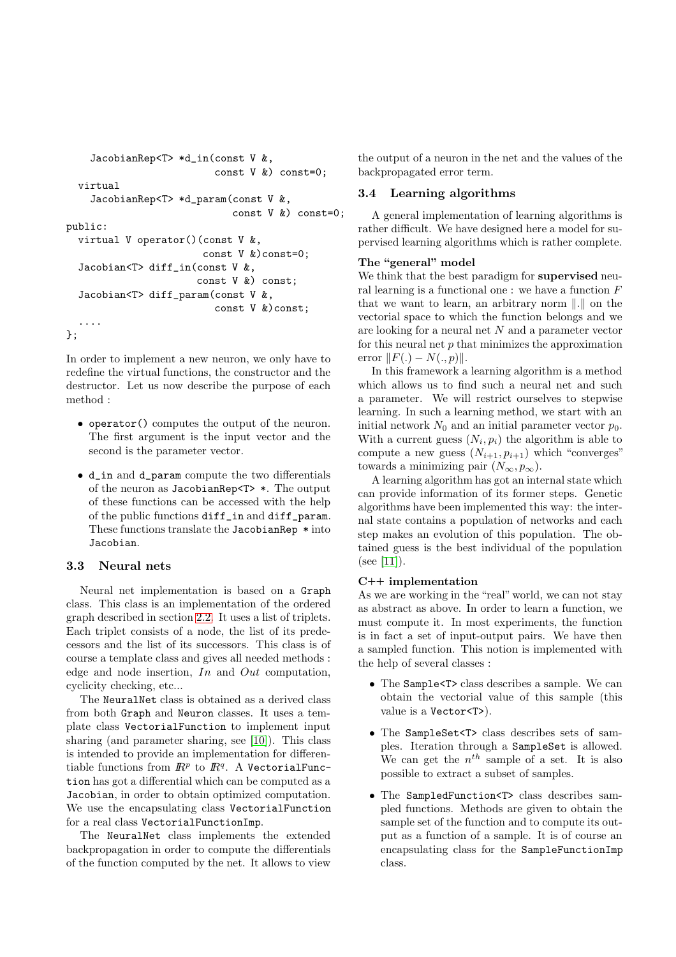```
JacobianRep<T> *d_in(const V &,
                          const V &) const=0;
 virtual
    JacobianRep<T> *d_param(const V &,
                             const V &) const=0;
public:
 virtual V operator()(const V &,
                        const V &)const=0;
  Jacobian<T> diff_in(const V &,
                      const V &) const;
  Jacobian<T> diff_param(const V &,
                          const V &)const;
  ....
};
```
In order to implement a new neuron, we only have to redefine the virtual functions, the constructor and the destructor. Let us now describe the purpose of each method :

- operator() computes the output of the neuron. The first argument is the input vector and the second is the parameter vector.
- d\_in and d\_param compute the two differentials of the neuron as JacobianRep<T> \*. The output of these functions can be accessed with the help of the public functions diff\_in and diff\_param. These functions translate the JacobianRep \* into Jacobian.

# 3.3 Neural nets

Neural net implementation is based on a Graph class. This class is an implementation of the ordered graph described in section [2.2.](#page-1-1) It uses a list of triplets. Each triplet consists of a node, the list of its predecessors and the list of its successors. This class is of course a template class and gives all needed methods : edge and node insertion,  $In$  and  $Out$  computation, cyclicity checking, etc...

The NeuralNet class is obtained as a derived class from both Graph and Neuron classes. It uses a template class VectorialFunction to implement input sharing (and parameter sharing, see [\[10\]](#page-9-13)). This class is intended to provide an implementation for differentiable functions from  $\mathbb{R}^p$  to  $\mathbb{R}^q$ . A VectorialFunction has got a differential which can be computed as a Jacobian, in order to obtain optimized computation. We use the encapsulating class VectorialFunction for a real class VectorialFunctionImp.

The NeuralNet class implements the extended backpropagation in order to compute the differentials of the function computed by the net. It allows to view the output of a neuron in the net and the values of the backpropagated error term.

# 3.4 Learning algorithms

A general implementation of learning algorithms is rather difficult. We have designed here a model for supervised learning algorithms which is rather complete.

# The "general" model

We think that the best paradigm for **supervised** neural learning is a functional one : we have a function  $F$ that we want to learn, an arbitrary norm  $\|.\|$  on the vectorial space to which the function belongs and we are looking for a neural net N and a parameter vector for this neural net  $p$  that minimizes the approximation error  $||F(.) - N(., p)||.$ 

In this framework a learning algorithm is a method which allows us to find such a neural net and such a parameter. We will restrict ourselves to stepwise learning. In such a learning method, we start with an initial network  $N_0$  and an initial parameter vector  $p_0$ . With a current guess  $(N_i, p_i)$  the algorithm is able to compute a new guess  $(N_{i+1}, p_{i+1})$  which "converges" towards a minimizing pair  $(N_{\infty}, p_{\infty}).$ 

A learning algorithm has got an internal state which can provide information of its former steps. Genetic algorithms have been implemented this way: the internal state contains a population of networks and each step makes an evolution of this population. The obtained guess is the best individual of the population  $(see [11]).$  $(see [11]).$  $(see [11]).$ 

# C++ implementation

As we are working in the "real" world, we can not stay as abstract as above. In order to learn a function, we must compute it. In most experiments, the function is in fact a set of input-output pairs. We have then a sampled function. This notion is implemented with the help of several classes :

- The Sample<T> class describes a sample. We can obtain the vectorial value of this sample (this value is a Vector<T>).
- The SampleSet<T> class describes sets of samples. Iteration through a SampleSet is allowed. We can get the  $n^{th}$  sample of a set. It is also possible to extract a subset of samples.
- The SampledFunction<T> class describes sampled functions. Methods are given to obtain the sample set of the function and to compute its output as a function of a sample. It is of course an encapsulating class for the SampleFunctionImp class.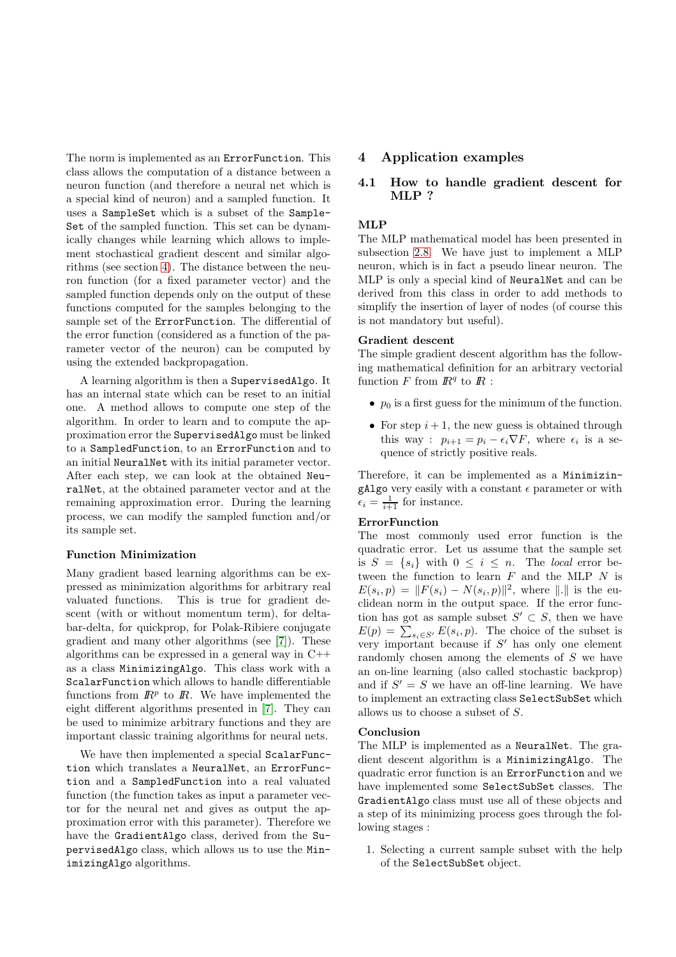The norm is implemented as an ErrorFunction. This class allows the computation of a distance between a neuron function (and therefore a neural net which is a special kind of neuron) and a sampled function. It uses a SampleSet which is a subset of the Sample-Set of the sampled function. This set can be dynamically changes while learning which allows to implement stochastical gradient descent and similar algorithms (see section [4\)](#page-7-0). The distance between the neuron function (for a fixed parameter vector) and the sampled function depends only on the output of these functions computed for the samples belonging to the sample set of the ErrorFunction. The differential of the error function (considered as a function of the parameter vector of the neuron) can be computed by using the extended backpropagation.

A learning algorithm is then a SupervisedAlgo. It has an internal state which can be reset to an initial one. A method allows to compute one step of the algorithm. In order to learn and to compute the approximation error the SupervisedAlgo must be linked to a SampledFunction, to an ErrorFunction and to an initial NeuralNet with its initial parameter vector. After each step, we can look at the obtained NeuralNet, at the obtained parameter vector and at the remaining approximation error. During the learning process, we can modify the sampled function and/or its sample set.

### Function Minimization

Many gradient based learning algorithms can be expressed as minimization algorithms for arbitrary real valuated functions. This is true for gradient descent (with or without momentum term), for deltabar-delta, for quickprop, for Polak-Ribiere conjugate gradient and many other algorithms (see [\[7\]](#page-9-16)). These algorithms can be expressed in a general way in C++ as a class MinimizingAlgo. This class work with a ScalarFunction which allows to handle differentiable functions from  $\mathbb{R}^p$  to  $\mathbb{R}$ . We have implemented the eight different algorithms presented in [\[7\]](#page-9-16). They can be used to minimize arbitrary functions and they are important classic training algorithms for neural nets.

We have then implemented a special ScalarFunction which translates a NeuralNet, an ErrorFunction and a SampledFunction into a real valuated function (the function takes as input a parameter vector for the neural net and gives as output the approximation error with this parameter). Therefore we have the GradientAlgo class, derived from the SupervisedAlgo class, which allows us to use the MinimizingAlgo algorithms.

# <span id="page-7-0"></span>4 Application examples

# 4.1 How to handle gradient descent for MLP ?

### MLP

The MLP mathematical model has been presented in subsection [2.8.](#page-4-1) We have just to implement a MLP neuron, which is in fact a pseudo linear neuron. The MLP is only a special kind of NeuralNet and can be derived from this class in order to add methods to simplify the insertion of layer of nodes (of course this is not mandatory but useful).

### Gradient descent

The simple gradient descent algorithm has the following mathematical definition for an arbitrary vectorial function F from  $\mathbb{R}^q$  to  $\mathbb{R}$ :

- $p_0$  is a first guess for the minimum of the function.
- For step  $i + 1$ , the new guess is obtained through this way :  $p_{i+1} = p_i - \epsilon_i \nabla F$ , where  $\epsilon_i$  is a sequence of strictly positive reals.

Therefore, it can be implemented as a MinimizingAlgo very easily with a constant  $\epsilon$  parameter or with  $\epsilon_i = \frac{1}{i+1}$  for instance.

#### **ErrorFunction**

The most commonly used error function is the quadratic error. Let us assume that the sample set is  $S = \{s_i\}$  with  $0 \leq i \leq n$ . The local error between the function to learn  $F$  and the MLP  $N$  is  $E(s_i, p) = ||F(s_i) - N(s_i, p)||^2$ , where ||.|| is the euclidean norm in the output space. If the error function has got as sample subset  $S' \subset S$ , then we have  $E(p) = \sum_{s_i \in S'} E(s_i, p)$ . The choice of the subset is very important because if  $S'$  has only one element randomly chosen among the elements of S we have an on-line learning (also called stochastic backprop) and if  $S' = S$  we have an off-line learning. We have to implement an extracting class SelectSubSet which allows us to choose a subset of S.

### Conclusion

The MLP is implemented as a NeuralNet. The gradient descent algorithm is a MinimizingAlgo. The quadratic error function is an ErrorFunction and we have implemented some SelectSubSet classes. The GradientAlgo class must use all of these objects and a step of its minimizing process goes through the following stages :

1. Selecting a current sample subset with the help of the SelectSubSet object.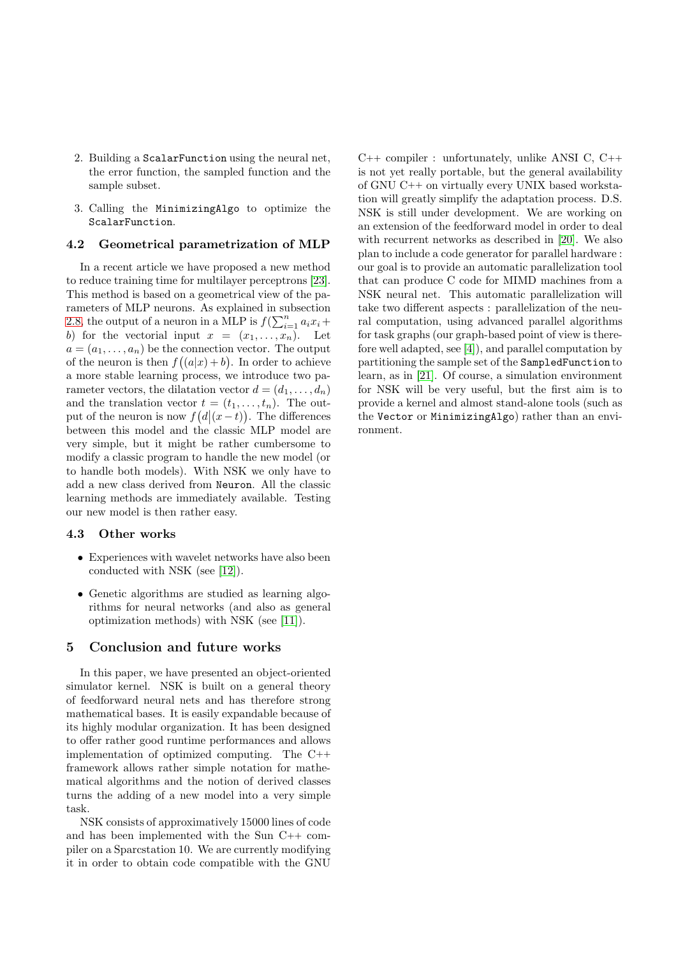- 2. Building a ScalarFunction using the neural net, the error function, the sampled function and the sample subset.
- 3. Calling the MinimizingAlgo to optimize the ScalarFunction.

# 4.2 Geometrical parametrization of MLP

In a recent article we have proposed a new method to reduce training time for multilayer perceptrons [\[23\]](#page-10-6). This method is based on a geometrical view of the parameters of MLP neurons. As explained in subsection [2.8,](#page-4-1) the output of a neuron in a MLP is  $f(\sum_{i=1}^n a_i x_i +$ b) for the vectorial input  $x = (x_1, \ldots, x_n)$ . Let  $a = (a_1, \ldots, a_n)$  be the connection vector. The output of the neuron is then  $f((a|x)+b)$ . In order to achieve a more stable learning process, we introduce two parameter vectors, the dilatation vector  $d = (d_1, \ldots, d_n)$ and the translation vector  $t = (t_1, \ldots, t_n)$ . The output of the neuron is now  $f(d|(x-t))$ . The differences between this model and the classic MLP model are very simple, but it might be rather cumbersome to modify a classic program to handle the new model (or to handle both models). With NSK we only have to add a new class derived from Neuron. All the classic learning methods are immediately available. Testing our new model is then rather easy.

### 4.3 Other works

- Experiences with wavelet networks have also been conducted with NSK (see [\[12\]](#page-9-17)).
- Genetic algorithms are studied as learning algorithms for neural networks (and also as general optimization methods) with NSK (see [\[11\]](#page-9-15)).

### <span id="page-8-0"></span>5 Conclusion and future works

In this paper, we have presented an object-oriented simulator kernel. NSK is built on a general theory of feedforward neural nets and has therefore strong mathematical bases. It is easily expandable because of its highly modular organization. It has been designed to offer rather good runtime performances and allows implementation of optimized computing. The C++ framework allows rather simple notation for mathematical algorithms and the notion of derived classes turns the adding of a new model into a very simple task.

NSK consists of approximatively 15000 lines of code and has been implemented with the Sun C++ compiler on a Sparcstation 10. We are currently modifying it in order to obtain code compatible with the GNU C++ compiler : unfortunately, unlike ANSI C, C++ is not yet really portable, but the general availability of GNU C++ on virtually every UNIX based workstation will greatly simplify the adaptation process. D.S. NSK is still under development. We are working on an extension of the feedforward model in order to deal with recurrent networks as described in [\[20\]](#page-9-18). We also plan to include a code generator for parallel hardware : our goal is to provide an automatic parallelization tool that can produce C code for MIMD machines from a NSK neural net. This automatic parallelization will take two different aspects : parallelization of the neural computation, using advanced parallel algorithms for task graphs (our graph-based point of view is therefore well adapted, see [\[4\]](#page-9-19)), and parallel computation by partitioning the sample set of the SampledFunction to learn, as in [\[21\]](#page-10-7). Of course, a simulation environment for NSK will be very useful, but the first aim is to provide a kernel and almost stand-alone tools (such as the Vector or MinimizingAlgo) rather than an environment.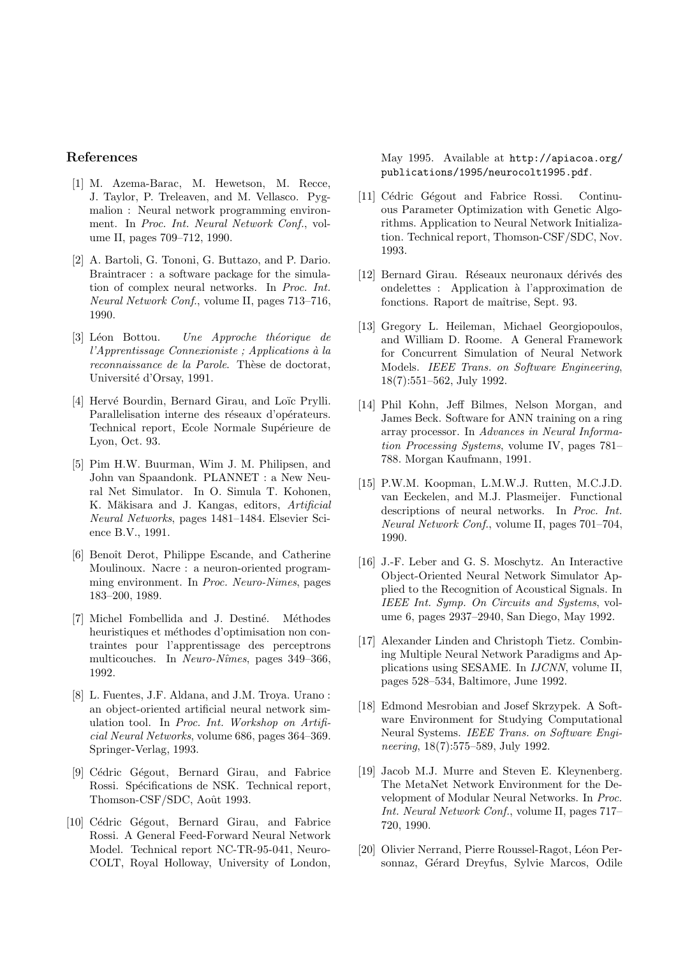# <span id="page-9-0"></span>References

- [1] M. Azema-Barac, M. Hewetson, M. Recce, J. Taylor, P. Treleaven, and M. Vellasco. Pygmalion : Neural network programming environment. In Proc. Int. Neural Network Conf., volume II, pages 709–712, 1990.
- <span id="page-9-1"></span>[2] A. Bartoli, G. Tononi, G. Buttazo, and P. Dario. Braintracer : a software package for the simulation of complex neural networks. In Proc. Int. Neural Network Conf., volume II, pages 713–716, 1990.
- <span id="page-9-12"></span> $[3]$  Léon Bottou. Une Approche théorique de  $l'Apprentissage$  Connexioniste ; Applications à la reconnaissance de la Parole. Thèse de doctorat, Université d'Orsay, 1991.
- <span id="page-9-19"></span>[4] Hervé Bourdin, Bernard Girau, and Loïc Prylli. Parallelisation interne des réseaux d'opérateurs. Technical report, Ecole Normale Supérieure de Lyon, Oct. 93.
- <span id="page-9-2"></span>[5] Pim H.W. Buurman, Wim J. M. Philipsen, and John van Spaandonk. PLANNET : a New Neural Net Simulator. In O. Simula T. Kohonen, K. Mäkisara and J. Kangas, editors, Artificial Neural Networks, pages 1481–1484. Elsevier Science B.V., 1991.
- <span id="page-9-10"></span>[6] Benoît Derot, Philippe Escande, and Catherine Moulinoux. Nacre : a neuron-oriented programming environment. In Proc. Neuro-Nimes, pages 183–200, 1989.
- <span id="page-9-16"></span>[7] Michel Fombellida and J. Destiné. Méthodes heuristiques et méthodes d'optimisation non contraintes pour l'apprentissage des perceptrons multicouches. In Neuro-Nîmes, pages 349–366, 1992.
- <span id="page-9-3"></span>[8] L. Fuentes, J.F. Aldana, and J.M. Troya. Urano : an object-oriented artificial neural network simulation tool. In Proc. Int. Workshop on Artificial Neural Networks, volume 686, pages 364–369. Springer-Verlag, 1993.
- <span id="page-9-14"></span>[9] Cédric Gégout, Bernard Girau, and Fabrice Rossi. Spécifications de NSK. Technical report, Thomson-CSF/SDC, Août 1993.
- <span id="page-9-13"></span>[10] Cédric Gégout, Bernard Girau, and Fabrice Rossi. A General Feed-Forward Neural Network Model. Technical report NC-TR-95-041, Neuro-COLT, Royal Holloway, University of London,

May 1995. Available at http://apiacoa.org/ publications/1995/neurocolt1995.pdf.

- <span id="page-9-15"></span>[11] Cédric Gégout and Fabrice Rossi. Continuous Parameter Optimization with Genetic Algorithms. Application to Neural Network Initialization. Technical report, Thomson-CSF/SDC, Nov. 1993.
- <span id="page-9-17"></span>[12] Bernard Girau. Réseaux neuronaux dérivés des ondelettes : Application a` l'approximation de fonctions. Raport de maîtrise, Sept. 93.
- <span id="page-9-4"></span>[13] Gregory L. Heileman, Michael Georgiopoulos, and William D. Roome. A General Framework for Concurrent Simulation of Neural Network Models. IEEE Trans. on Software Engineering, 18(7):551–562, July 1992.
- <span id="page-9-5"></span>[14] Phil Kohn, Jeff Bilmes, Nelson Morgan, and James Beck. Software for ANN training on a ring array processor. In Advances in Neural Information Processing Systems, volume IV, pages 781– 788. Morgan Kaufmann, 1991.
- <span id="page-9-11"></span>[15] P.W.M. Koopman, L.M.W.J. Rutten, M.C.J.D. van Eeckelen, and M.J. Plasmeijer. Functional descriptions of neural networks. In Proc. Int. Neural Network Conf., volume II, pages 701–704, 1990.
- <span id="page-9-6"></span>[16] J.-F. Leber and G. S. Moschytz. An Interactive Object-Oriented Neural Network Simulator Applied to the Recognition of Acoustical Signals. In IEEE Int. Symp. On Circuits and Systems, volume 6, pages 2937–2940, San Diego, May 1992.
- <span id="page-9-7"></span>[17] Alexander Linden and Christoph Tietz. Combining Multiple Neural Network Paradigms and Applications using SESAME. In IJCNN, volume II, pages 528–534, Baltimore, June 1992.
- <span id="page-9-8"></span>[18] Edmond Mesrobian and Josef Skrzypek. A Software Environment for Studying Computational Neural Systems. IEEE Trans. on Software Engineering, 18(7):575–589, July 1992.
- <span id="page-9-9"></span>[19] Jacob M.J. Murre and Steven E. Kleynenberg. The MetaNet Network Environment for the Development of Modular Neural Networks. In Proc. Int. Neural Network Conf., volume II, pages 717– 720, 1990.
- <span id="page-9-18"></span>[20] Olivier Nerrand, Pierre Roussel-Ragot, Léon Personnaz, Gérard Dreyfus, Sylvie Marcos, Odile